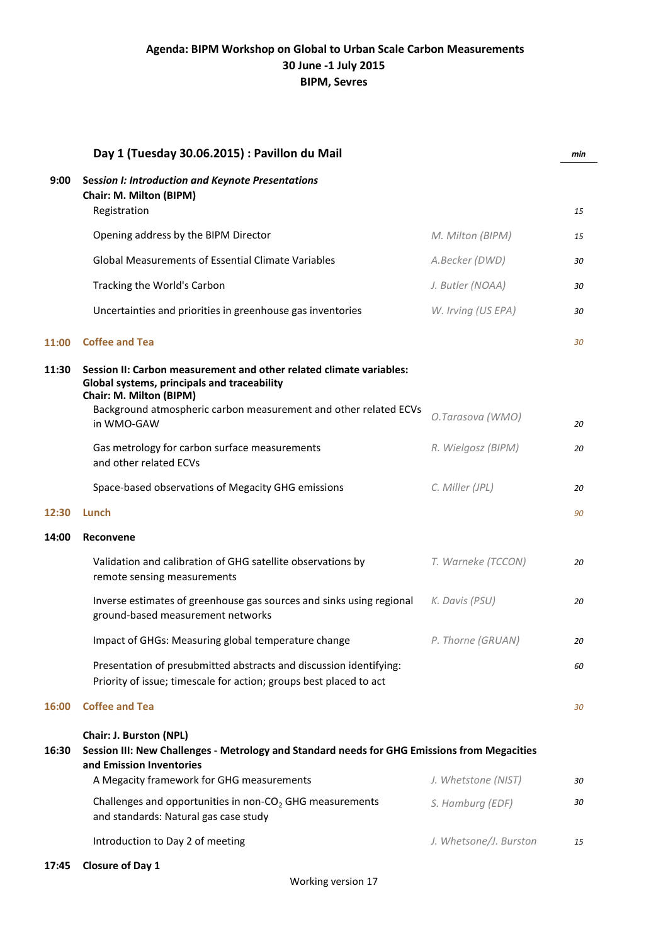|       | Day 1 (Tuesday 30.06.2015) : Pavillon du Mail                                                                                                                                                                     |                        | min |
|-------|-------------------------------------------------------------------------------------------------------------------------------------------------------------------------------------------------------------------|------------------------|-----|
| 9:00  | <b>Session I: Introduction and Keynote Presentations</b><br>Chair: M. Milton (BIPM)<br>Registration                                                                                                               |                        | 15  |
|       | Opening address by the BIPM Director                                                                                                                                                                              | M. Milton (BIPM)       | 15  |
|       | <b>Global Measurements of Essential Climate Variables</b>                                                                                                                                                         | A.Becker (DWD)         | 30  |
|       | Tracking the World's Carbon                                                                                                                                                                                       | J. Butler (NOAA)       | 30  |
|       | Uncertainties and priorities in greenhouse gas inventories                                                                                                                                                        | W. Irving (US EPA)     | 30  |
| 11:00 | <b>Coffee and Tea</b>                                                                                                                                                                                             |                        | 30  |
| 11:30 | Session II: Carbon measurement and other related climate variables:<br>Global systems, principals and traceability<br>Chair: M. Milton (BIPM)<br>Background atmospheric carbon measurement and other related ECVs |                        |     |
|       | in WMO-GAW                                                                                                                                                                                                        | O.Tarasova (WMO)       | 20  |
|       | Gas metrology for carbon surface measurements<br>and other related ECVs                                                                                                                                           | R. Wielgosz (BIPM)     | 20  |
|       | Space-based observations of Megacity GHG emissions                                                                                                                                                                | C. Miller (JPL)        | 20  |
| 12:30 | Lunch                                                                                                                                                                                                             |                        | 90  |
| 14:00 | Reconvene                                                                                                                                                                                                         |                        |     |
|       | Validation and calibration of GHG satellite observations by<br>remote sensing measurements                                                                                                                        | T. Warneke (TCCON)     | 20  |
|       | Inverse estimates of greenhouse gas sources and sinks using regional<br>ground-based measurement networks                                                                                                         | K. Davis (PSU)         | 20  |
|       | Impact of GHGs: Measuring global temperature change                                                                                                                                                               | P. Thorne (GRUAN)      | 20  |
|       | Presentation of presubmitted abstracts and discussion identifying:<br>Priority of issue; timescale for action; groups best placed to act                                                                          |                        | 60  |
| 16:00 | <b>Coffee and Tea</b>                                                                                                                                                                                             |                        | 30  |
| 16:30 | Chair: J. Burston (NPL)<br>Session III: New Challenges - Metrology and Standard needs for GHG Emissions from Megacities<br>and Emission Inventories<br>A Megacity framework for GHG measurements                  | J. Whetstone (NIST)    | 30  |
|       | Challenges and opportunities in non- $CO2$ GHG measurements<br>and standards: Natural gas case study                                                                                                              | S. Hamburg (EDF)       | 30  |
|       | Introduction to Day 2 of meeting                                                                                                                                                                                  | J. Whetsone/J. Burston | 15  |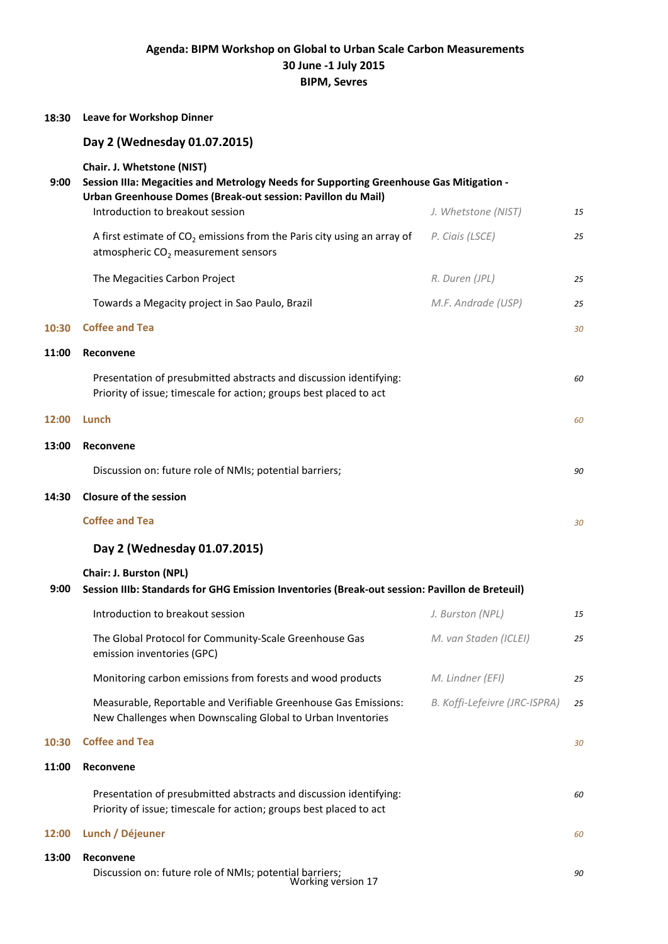## **Agenda: BIPM Workshop on Global to Urban Scale Carbon Measurements 30 June -1 July 2015 BIPM, Sevres**

| 18:30 | <b>Leave for Workshop Dinner</b>                                                                                                                                                                                          |                               |    |
|-------|---------------------------------------------------------------------------------------------------------------------------------------------------------------------------------------------------------------------------|-------------------------------|----|
|       | Day 2 (Wednesday 01.07.2015)                                                                                                                                                                                              |                               |    |
| 9:00  | Chair. J. Whetstone (NIST)<br>Session IIIa: Megacities and Metrology Needs for Supporting Greenhouse Gas Mitigation -<br>Urban Greenhouse Domes (Break-out session: Pavillon du Mail)<br>Introduction to breakout session | J. Whetstone (NIST)           | 15 |
|       | A first estimate of $CO2$ emissions from the Paris city using an array of<br>atmospheric $CO2$ measurement sensors                                                                                                        | P. Ciais (LSCE)               | 25 |
|       | The Megacities Carbon Project                                                                                                                                                                                             | R. Duren (JPL)                | 25 |
|       | Towards a Megacity project in Sao Paulo, Brazil                                                                                                                                                                           | M.F. Andrade (USP)            | 25 |
| 10:30 | <b>Coffee and Tea</b>                                                                                                                                                                                                     |                               | 30 |
| 11:00 | Reconvene                                                                                                                                                                                                                 |                               |    |
|       | Presentation of presubmitted abstracts and discussion identifying:<br>Priority of issue; timescale for action; groups best placed to act                                                                                  |                               | 60 |
| 12:00 | Lunch                                                                                                                                                                                                                     |                               | 60 |
| 13:00 | Reconvene                                                                                                                                                                                                                 |                               |    |
|       | Discussion on: future role of NMIs; potential barriers;                                                                                                                                                                   |                               | 90 |
| 14:30 | <b>Closure of the session</b>                                                                                                                                                                                             |                               |    |
|       | <b>Coffee and Tea</b>                                                                                                                                                                                                     |                               | 30 |
|       | Day 2 (Wednesday 01.07.2015)                                                                                                                                                                                              |                               |    |
| 9:00  | Chair: J. Burston (NPL)<br>Session IIIb: Standards for GHG Emission Inventories (Break-out session: Pavillon de Breteuil)                                                                                                 |                               |    |
|       | Introduction to breakout session                                                                                                                                                                                          | J. Burston (NPL)              | 15 |
|       | The Global Protocol for Community-Scale Greenhouse Gas<br>emission inventories (GPC)                                                                                                                                      | M. van Staden (ICLEI)         | 25 |
|       | Monitoring carbon emissions from forests and wood products                                                                                                                                                                | M. Lindner (EFI)              | 25 |
|       | Measurable, Reportable and Verifiable Greenhouse Gas Emissions:<br>New Challenges when Downscaling Global to Urban Inventories                                                                                            | B. Koffi-Lefeivre (JRC-ISPRA) | 25 |
| 10:30 | <b>Coffee and Tea</b>                                                                                                                                                                                                     |                               | 30 |
| 11:00 | Reconvene                                                                                                                                                                                                                 |                               |    |
|       | Presentation of presubmitted abstracts and discussion identifying:<br>Priority of issue; timescale for action; groups best placed to act                                                                                  |                               | 60 |
| 12:00 | Lunch / Déjeuner                                                                                                                                                                                                          |                               | 60 |
| 13:00 | Reconvene<br>Discussion on: future role of NMIs; potential barriers;<br>Working version 17                                                                                                                                |                               | 90 |